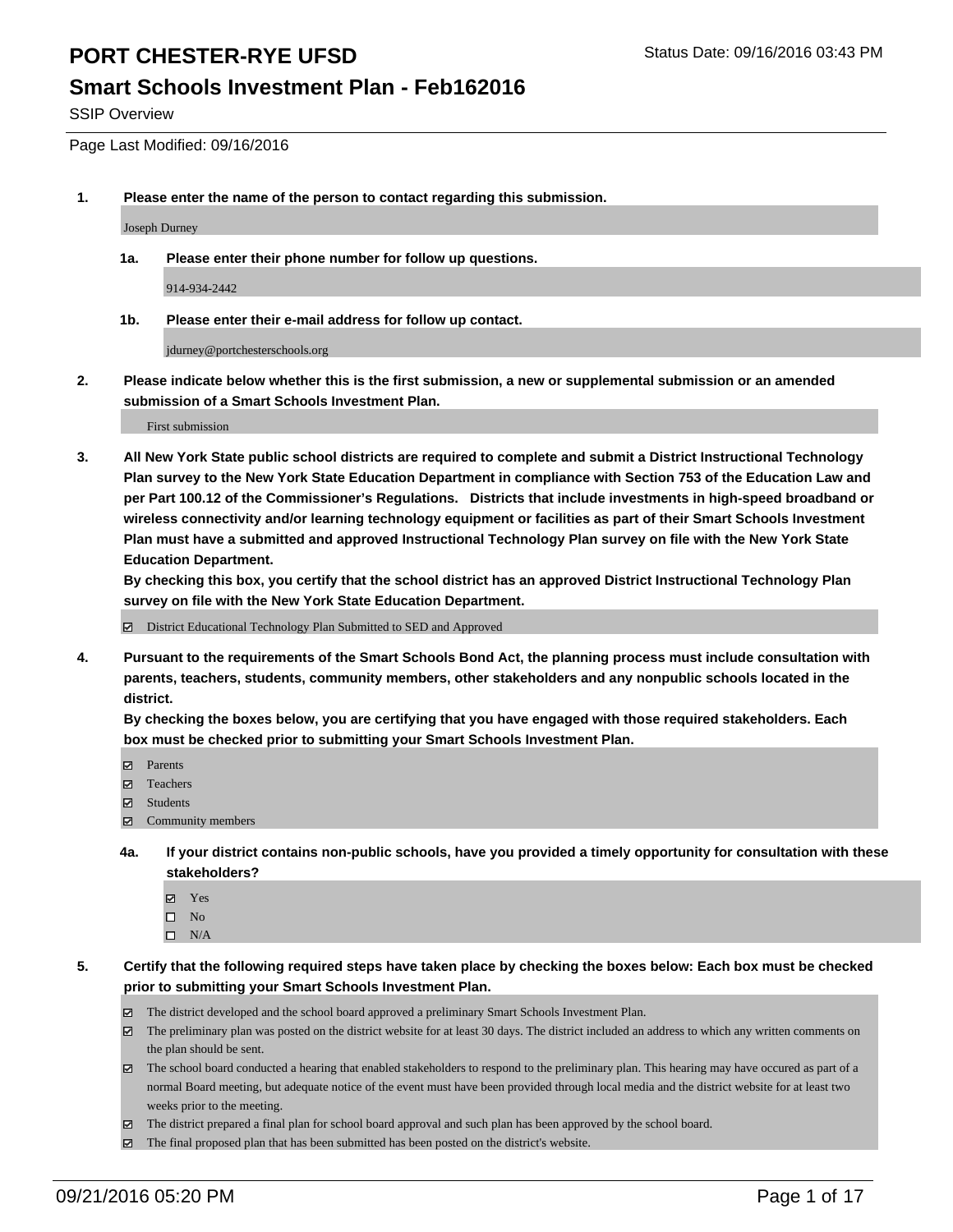#### **Smart Schools Investment Plan - Feb162016**

SSIP Overview

Page Last Modified: 09/16/2016

**1. Please enter the name of the person to contact regarding this submission.**

Joseph Durney

**1a. Please enter their phone number for follow up questions.**

914-934-2442

**1b. Please enter their e-mail address for follow up contact.**

jdurney@portchesterschools.org

**2. Please indicate below whether this is the first submission, a new or supplemental submission or an amended submission of a Smart Schools Investment Plan.**

First submission

**3. All New York State public school districts are required to complete and submit a District Instructional Technology Plan survey to the New York State Education Department in compliance with Section 753 of the Education Law and per Part 100.12 of the Commissioner's Regulations. Districts that include investments in high-speed broadband or wireless connectivity and/or learning technology equipment or facilities as part of their Smart Schools Investment Plan must have a submitted and approved Instructional Technology Plan survey on file with the New York State Education Department.** 

**By checking this box, you certify that the school district has an approved District Instructional Technology Plan survey on file with the New York State Education Department.**

District Educational Technology Plan Submitted to SED and Approved

**4. Pursuant to the requirements of the Smart Schools Bond Act, the planning process must include consultation with parents, teachers, students, community members, other stakeholders and any nonpublic schools located in the district.** 

**By checking the boxes below, you are certifying that you have engaged with those required stakeholders. Each box must be checked prior to submitting your Smart Schools Investment Plan.**

- Parents
- □ Teachers
- $\boxtimes$  Students
- $\boxtimes$  Community members
- **4a. If your district contains non-public schools, have you provided a timely opportunity for consultation with these stakeholders?**
	- Yes  $\square$  No
	- $\square$  N/A
- **5. Certify that the following required steps have taken place by checking the boxes below: Each box must be checked prior to submitting your Smart Schools Investment Plan.**
	- The district developed and the school board approved a preliminary Smart Schools Investment Plan.
	- The preliminary plan was posted on the district website for at least 30 days. The district included an address to which any written comments on the plan should be sent.
	- $\boxtimes$  The school board conducted a hearing that enabled stakeholders to respond to the preliminary plan. This hearing may have occured as part of a normal Board meeting, but adequate notice of the event must have been provided through local media and the district website for at least two weeks prior to the meeting.
	- The district prepared a final plan for school board approval and such plan has been approved by the school board.
	- $\boxtimes$  The final proposed plan that has been submitted has been posted on the district's website.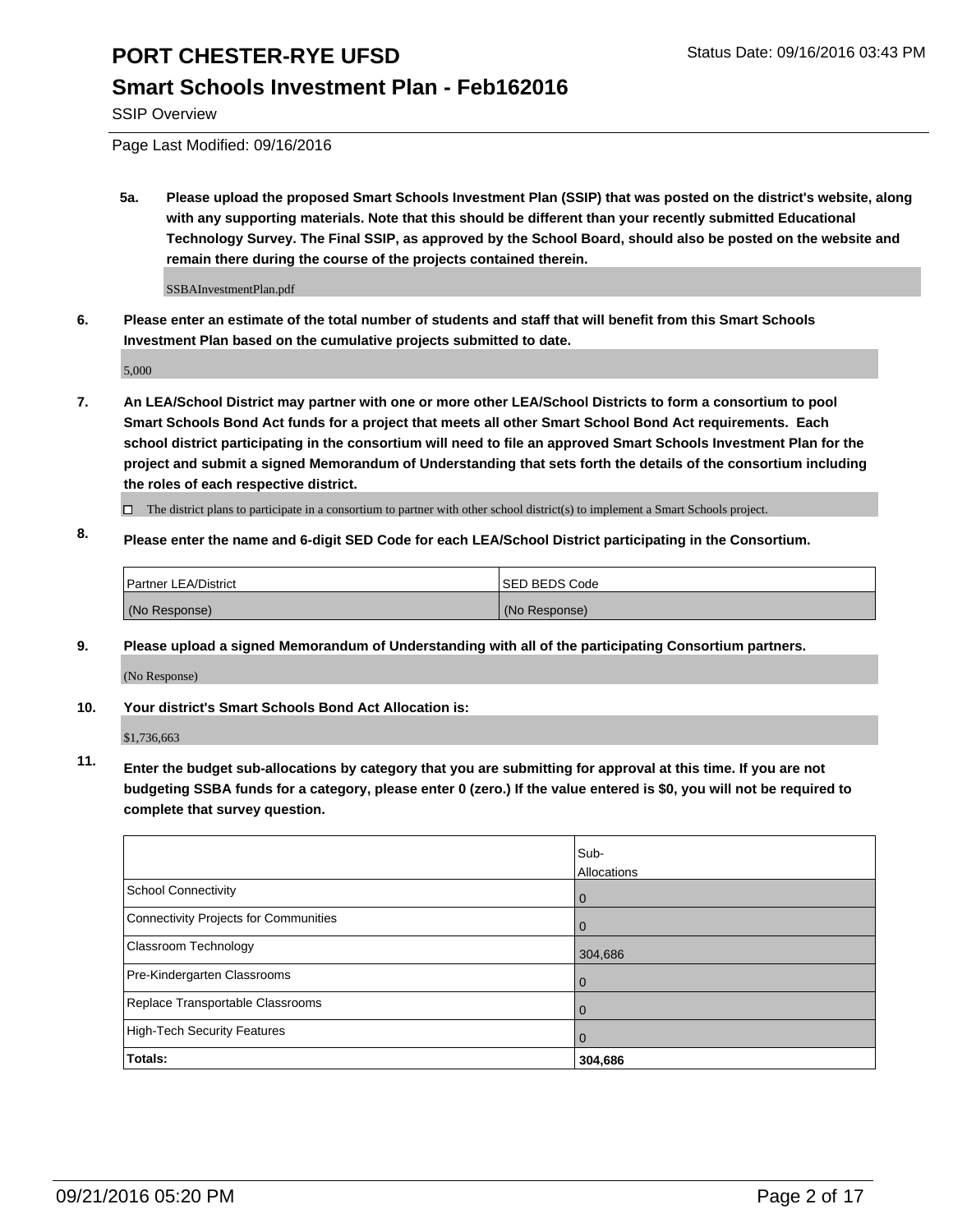### **Smart Schools Investment Plan - Feb162016**

SSIP Overview

Page Last Modified: 09/16/2016

**5a. Please upload the proposed Smart Schools Investment Plan (SSIP) that was posted on the district's website, along with any supporting materials. Note that this should be different than your recently submitted Educational Technology Survey. The Final SSIP, as approved by the School Board, should also be posted on the website and remain there during the course of the projects contained therein.**

SSBAInvestmentPlan.pdf

**6. Please enter an estimate of the total number of students and staff that will benefit from this Smart Schools Investment Plan based on the cumulative projects submitted to date.**

5,000

- **7. An LEA/School District may partner with one or more other LEA/School Districts to form a consortium to pool Smart Schools Bond Act funds for a project that meets all other Smart School Bond Act requirements. Each school district participating in the consortium will need to file an approved Smart Schools Investment Plan for the project and submit a signed Memorandum of Understanding that sets forth the details of the consortium including the roles of each respective district.**
	- $\Box$  The district plans to participate in a consortium to partner with other school district(s) to implement a Smart Schools project.
- **8. Please enter the name and 6-digit SED Code for each LEA/School District participating in the Consortium.**

| Partner LEA/District | <b>ISED BEDS Code</b> |
|----------------------|-----------------------|
| (No Response)        | (No Response)         |

**9. Please upload a signed Memorandum of Understanding with all of the participating Consortium partners.**

(No Response)

#### **10. Your district's Smart Schools Bond Act Allocation is:**

\$1,736,663

**11. Enter the budget sub-allocations by category that you are submitting for approval at this time. If you are not budgeting SSBA funds for a category, please enter 0 (zero.) If the value entered is \$0, you will not be required to complete that survey question.**

|                                       | Sub-<br>Allocations |
|---------------------------------------|---------------------|
| School Connectivity                   | 0                   |
| Connectivity Projects for Communities |                     |
| Classroom Technology                  | 304,686             |
| Pre-Kindergarten Classrooms           | $\Omega$            |
| Replace Transportable Classrooms      | $\Omega$            |
| High-Tech Security Features           |                     |
| <b>Totals:</b>                        | 304,686             |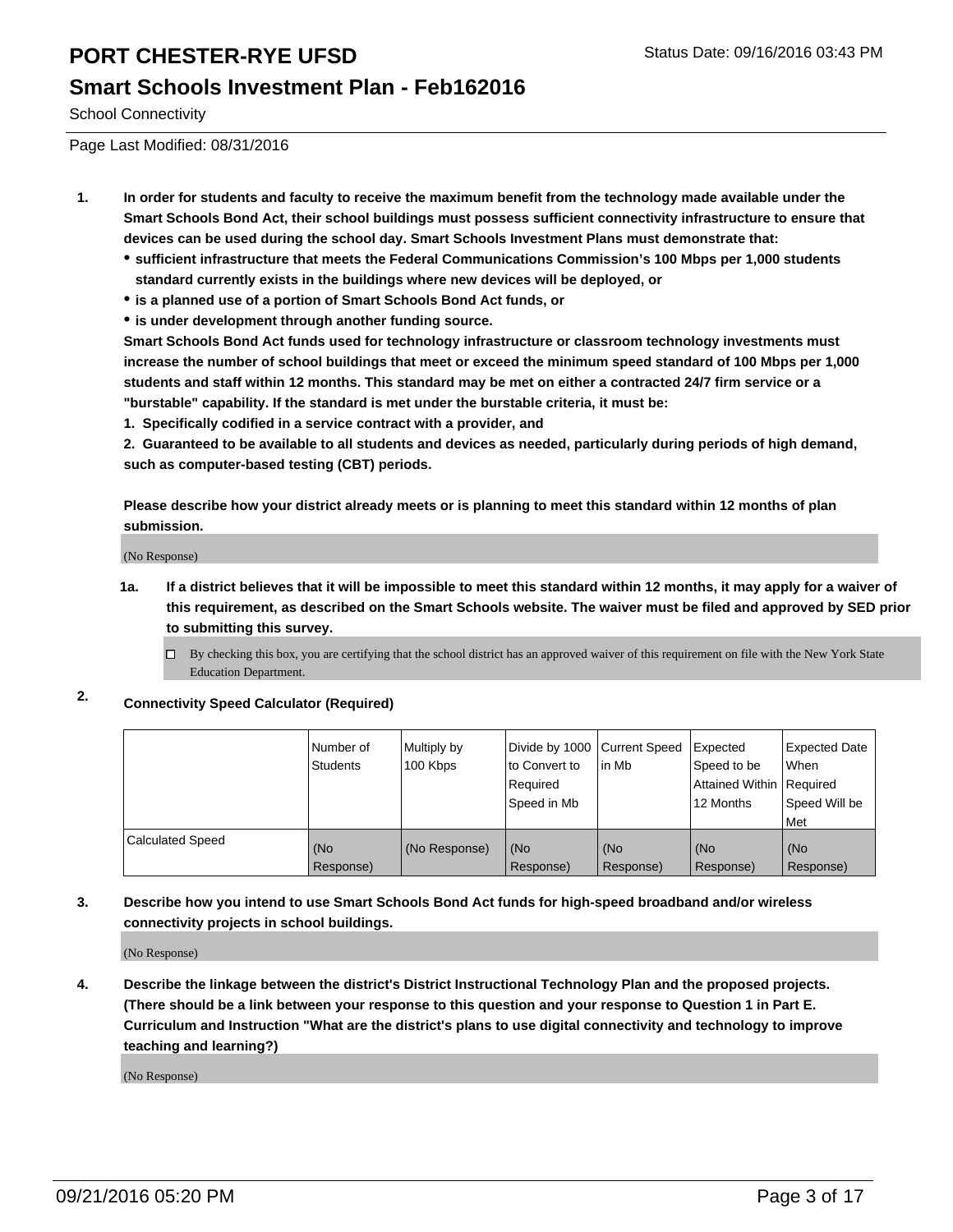#### **Smart Schools Investment Plan - Feb162016**

School Connectivity

Page Last Modified: 08/31/2016

- **1. In order for students and faculty to receive the maximum benefit from the technology made available under the Smart Schools Bond Act, their school buildings must possess sufficient connectivity infrastructure to ensure that devices can be used during the school day. Smart Schools Investment Plans must demonstrate that:**
	- **sufficient infrastructure that meets the Federal Communications Commission's 100 Mbps per 1,000 students standard currently exists in the buildings where new devices will be deployed, or**
	- **is a planned use of a portion of Smart Schools Bond Act funds, or**
	- **is under development through another funding source.**

**Smart Schools Bond Act funds used for technology infrastructure or classroom technology investments must increase the number of school buildings that meet or exceed the minimum speed standard of 100 Mbps per 1,000 students and staff within 12 months. This standard may be met on either a contracted 24/7 firm service or a "burstable" capability. If the standard is met under the burstable criteria, it must be:**

**1. Specifically codified in a service contract with a provider, and**

**2. Guaranteed to be available to all students and devices as needed, particularly during periods of high demand, such as computer-based testing (CBT) periods.**

**Please describe how your district already meets or is planning to meet this standard within 12 months of plan submission.**

(No Response)

- **1a. If a district believes that it will be impossible to meet this standard within 12 months, it may apply for a waiver of this requirement, as described on the Smart Schools website. The waiver must be filed and approved by SED prior to submitting this survey.**
	- $\Box$  By checking this box, you are certifying that the school district has an approved waiver of this requirement on file with the New York State Education Department.
- **2. Connectivity Speed Calculator (Required)**

|                         | Number of<br><b>Students</b> | Multiply by<br>100 Kbps | Divide by 1000 Current Speed<br>to Convert to<br>Required<br>Speed in Mb | lin Mb           | Expected<br>Speed to be<br>Attained Within Required<br>12 Months | Expected Date<br>l When<br>Speed Will be<br>l Met |
|-------------------------|------------------------------|-------------------------|--------------------------------------------------------------------------|------------------|------------------------------------------------------------------|---------------------------------------------------|
| <b>Calculated Speed</b> | (No<br>Response)             | (No Response)           | (No<br>Response)                                                         | (No<br>Response) | (No<br>Response)                                                 | (No<br>Response)                                  |

#### **3. Describe how you intend to use Smart Schools Bond Act funds for high-speed broadband and/or wireless connectivity projects in school buildings.**

(No Response)

**4. Describe the linkage between the district's District Instructional Technology Plan and the proposed projects. (There should be a link between your response to this question and your response to Question 1 in Part E. Curriculum and Instruction "What are the district's plans to use digital connectivity and technology to improve teaching and learning?)**

(No Response)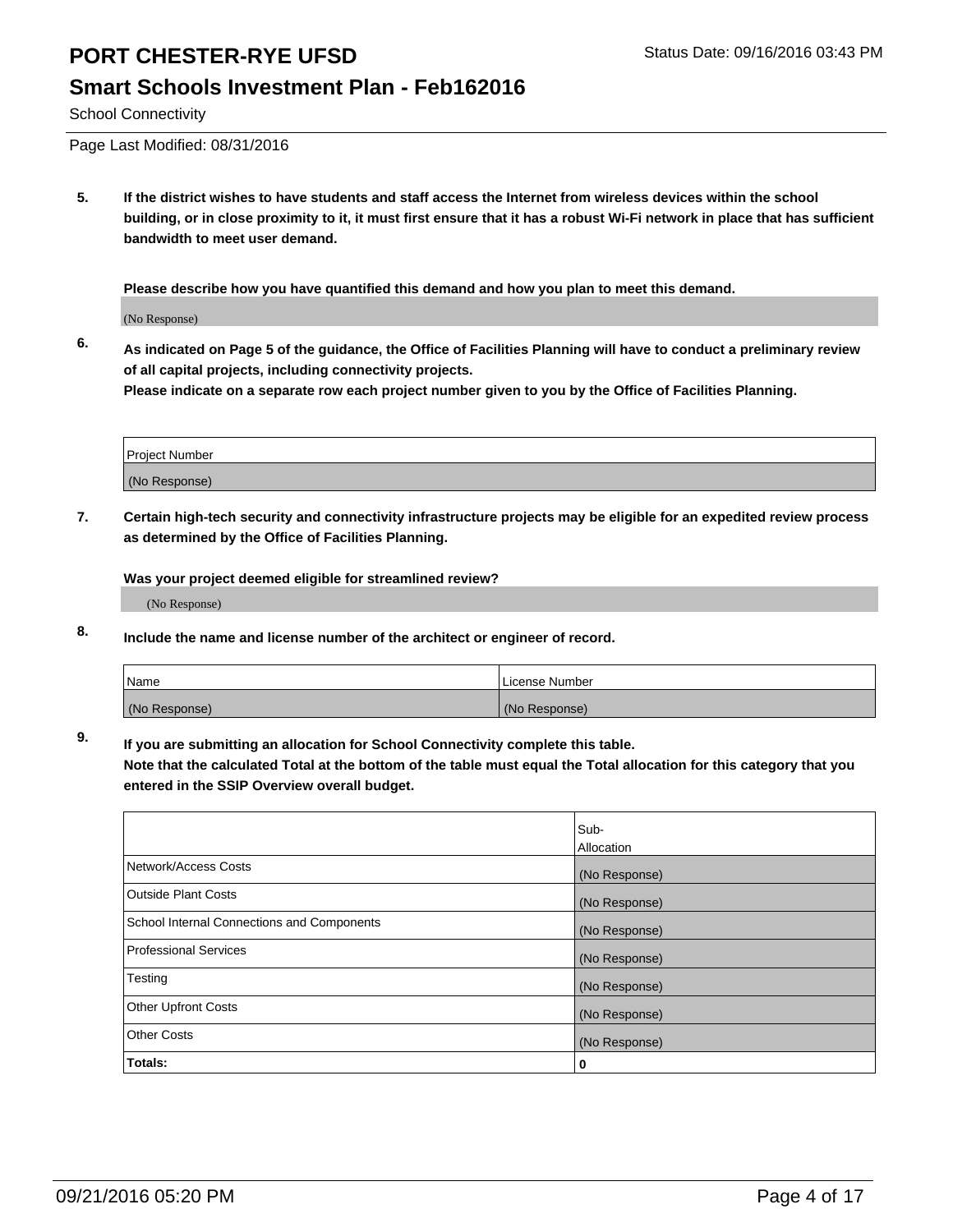### **Smart Schools Investment Plan - Feb162016**

School Connectivity

Page Last Modified: 08/31/2016

**5. If the district wishes to have students and staff access the Internet from wireless devices within the school building, or in close proximity to it, it must first ensure that it has a robust Wi-Fi network in place that has sufficient bandwidth to meet user demand.**

**Please describe how you have quantified this demand and how you plan to meet this demand.**

(No Response)

**6. As indicated on Page 5 of the guidance, the Office of Facilities Planning will have to conduct a preliminary review of all capital projects, including connectivity projects.**

**Please indicate on a separate row each project number given to you by the Office of Facilities Planning.**

| Project Number |  |
|----------------|--|
| (No Response)  |  |

**7. Certain high-tech security and connectivity infrastructure projects may be eligible for an expedited review process as determined by the Office of Facilities Planning.**

**Was your project deemed eligible for streamlined review?**

(No Response)

**8. Include the name and license number of the architect or engineer of record.**

| Name          | License Number |
|---------------|----------------|
| (No Response) | (No Response)  |

**9. If you are submitting an allocation for School Connectivity complete this table.**

**Note that the calculated Total at the bottom of the table must equal the Total allocation for this category that you entered in the SSIP Overview overall budget.** 

|                                            | Sub-          |
|--------------------------------------------|---------------|
|                                            | Allocation    |
| Network/Access Costs                       | (No Response) |
| <b>Outside Plant Costs</b>                 | (No Response) |
| School Internal Connections and Components | (No Response) |
| <b>Professional Services</b>               | (No Response) |
| Testing                                    | (No Response) |
| <b>Other Upfront Costs</b>                 | (No Response) |
| <b>Other Costs</b>                         | (No Response) |
| Totals:                                    | 0             |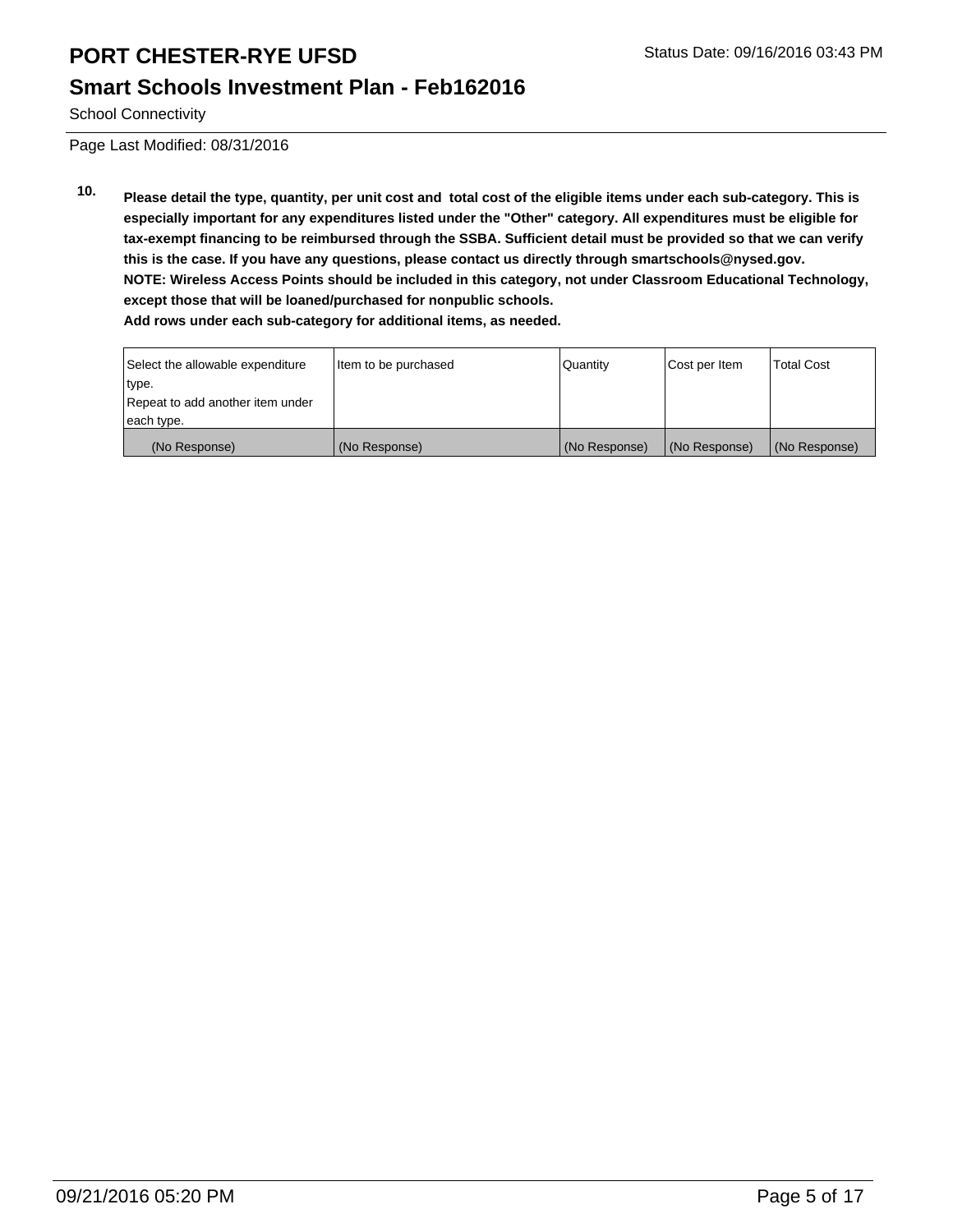### **Smart Schools Investment Plan - Feb162016**

School Connectivity

Page Last Modified: 08/31/2016

**10. Please detail the type, quantity, per unit cost and total cost of the eligible items under each sub-category. This is especially important for any expenditures listed under the "Other" category. All expenditures must be eligible for tax-exempt financing to be reimbursed through the SSBA. Sufficient detail must be provided so that we can verify this is the case. If you have any questions, please contact us directly through smartschools@nysed.gov. NOTE: Wireless Access Points should be included in this category, not under Classroom Educational Technology, except those that will be loaned/purchased for nonpublic schools. Add rows under each sub-category for additional items, as needed.**

| Select the allowable expenditure | Item to be purchased | <b>Quantity</b> | Cost per Item | <b>Total Cost</b> |
|----------------------------------|----------------------|-----------------|---------------|-------------------|
| type.                            |                      |                 |               |                   |
| Repeat to add another item under |                      |                 |               |                   |
| each type.                       |                      |                 |               |                   |
| (No Response)                    | (No Response)        | (No Response)   | (No Response) | (No Response)     |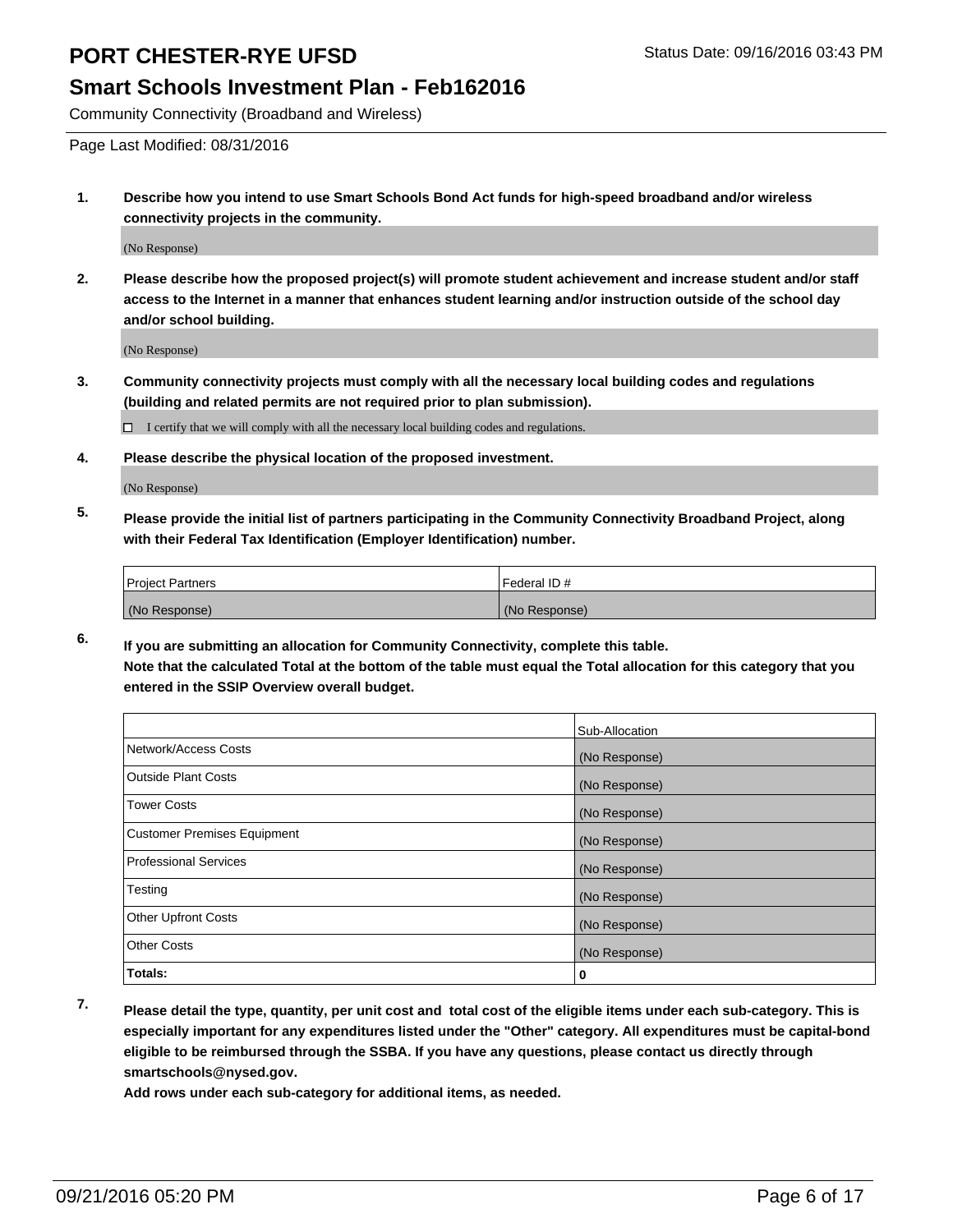### **Smart Schools Investment Plan - Feb162016**

Community Connectivity (Broadband and Wireless)

Page Last Modified: 08/31/2016

**1. Describe how you intend to use Smart Schools Bond Act funds for high-speed broadband and/or wireless connectivity projects in the community.**

(No Response)

**2. Please describe how the proposed project(s) will promote student achievement and increase student and/or staff access to the Internet in a manner that enhances student learning and/or instruction outside of the school day and/or school building.**

(No Response)

**3. Community connectivity projects must comply with all the necessary local building codes and regulations (building and related permits are not required prior to plan submission).**

 $\Box$  I certify that we will comply with all the necessary local building codes and regulations.

**4. Please describe the physical location of the proposed investment.**

(No Response)

**5. Please provide the initial list of partners participating in the Community Connectivity Broadband Project, along with their Federal Tax Identification (Employer Identification) number.**

| <b>Project Partners</b> | Federal ID#   |
|-------------------------|---------------|
| (No Response)           | (No Response) |

**6. If you are submitting an allocation for Community Connectivity, complete this table. Note that the calculated Total at the bottom of the table must equal the Total allocation for this category that you entered in the SSIP Overview overall budget.**

|                                    | Sub-Allocation |
|------------------------------------|----------------|
| Network/Access Costs               | (No Response)  |
| <b>Outside Plant Costs</b>         | (No Response)  |
| Tower Costs                        | (No Response)  |
| <b>Customer Premises Equipment</b> | (No Response)  |
| <b>Professional Services</b>       | (No Response)  |
| Testing                            | (No Response)  |
| <b>Other Upfront Costs</b>         | (No Response)  |
| <b>Other Costs</b>                 | (No Response)  |
| Totals:                            | 0              |

**7. Please detail the type, quantity, per unit cost and total cost of the eligible items under each sub-category. This is especially important for any expenditures listed under the "Other" category. All expenditures must be capital-bond eligible to be reimbursed through the SSBA. If you have any questions, please contact us directly through smartschools@nysed.gov.**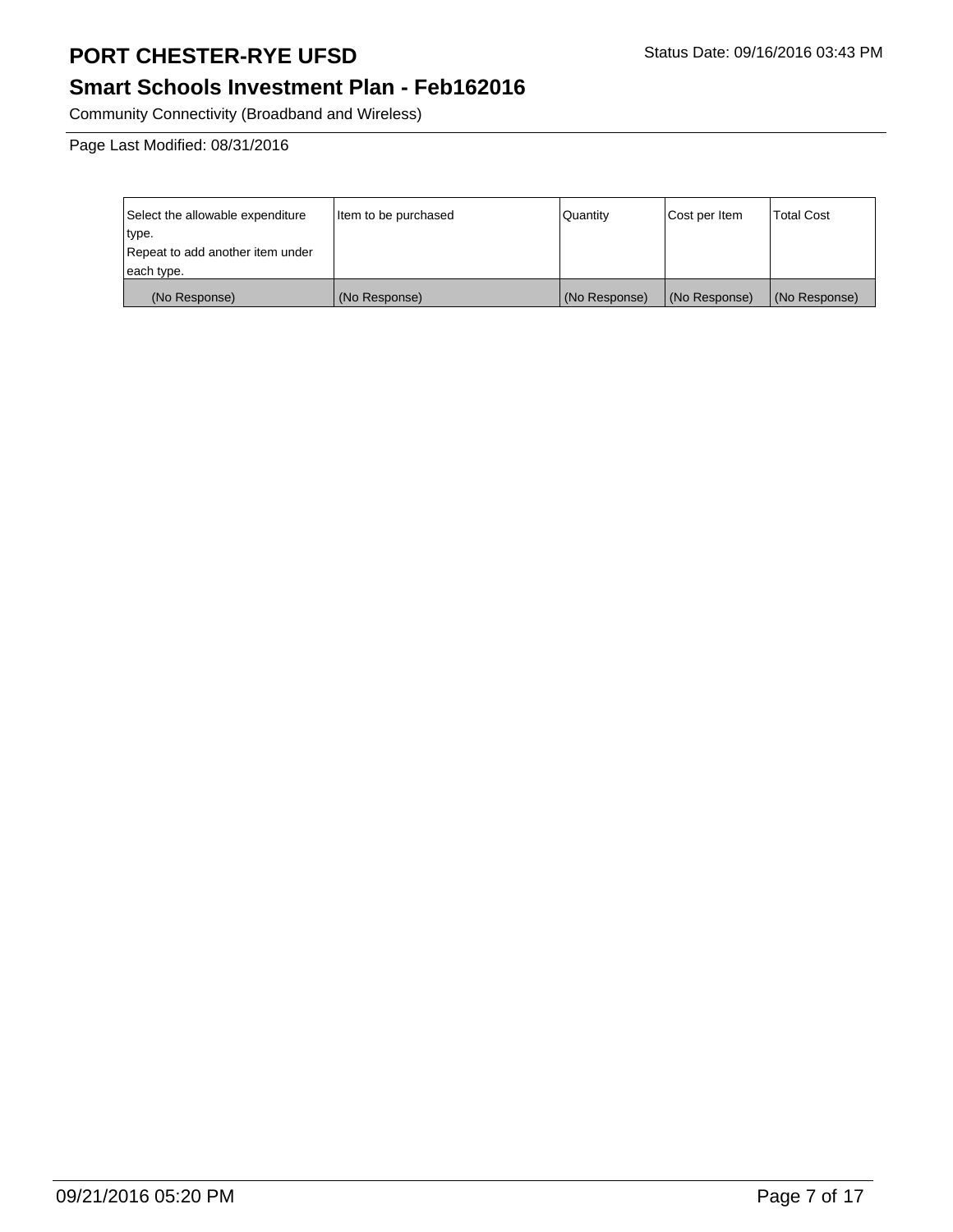# **Smart Schools Investment Plan - Feb162016**

Community Connectivity (Broadband and Wireless)

Page Last Modified: 08/31/2016

| Select the allowable expenditure | Item to be purchased | Quantity      | Cost per Item | <b>Total Cost</b> |
|----------------------------------|----------------------|---------------|---------------|-------------------|
| type.                            |                      |               |               |                   |
| Repeat to add another item under |                      |               |               |                   |
| each type.                       |                      |               |               |                   |
| (No Response)                    | (No Response)        | (No Response) | (No Response) | (No Response)     |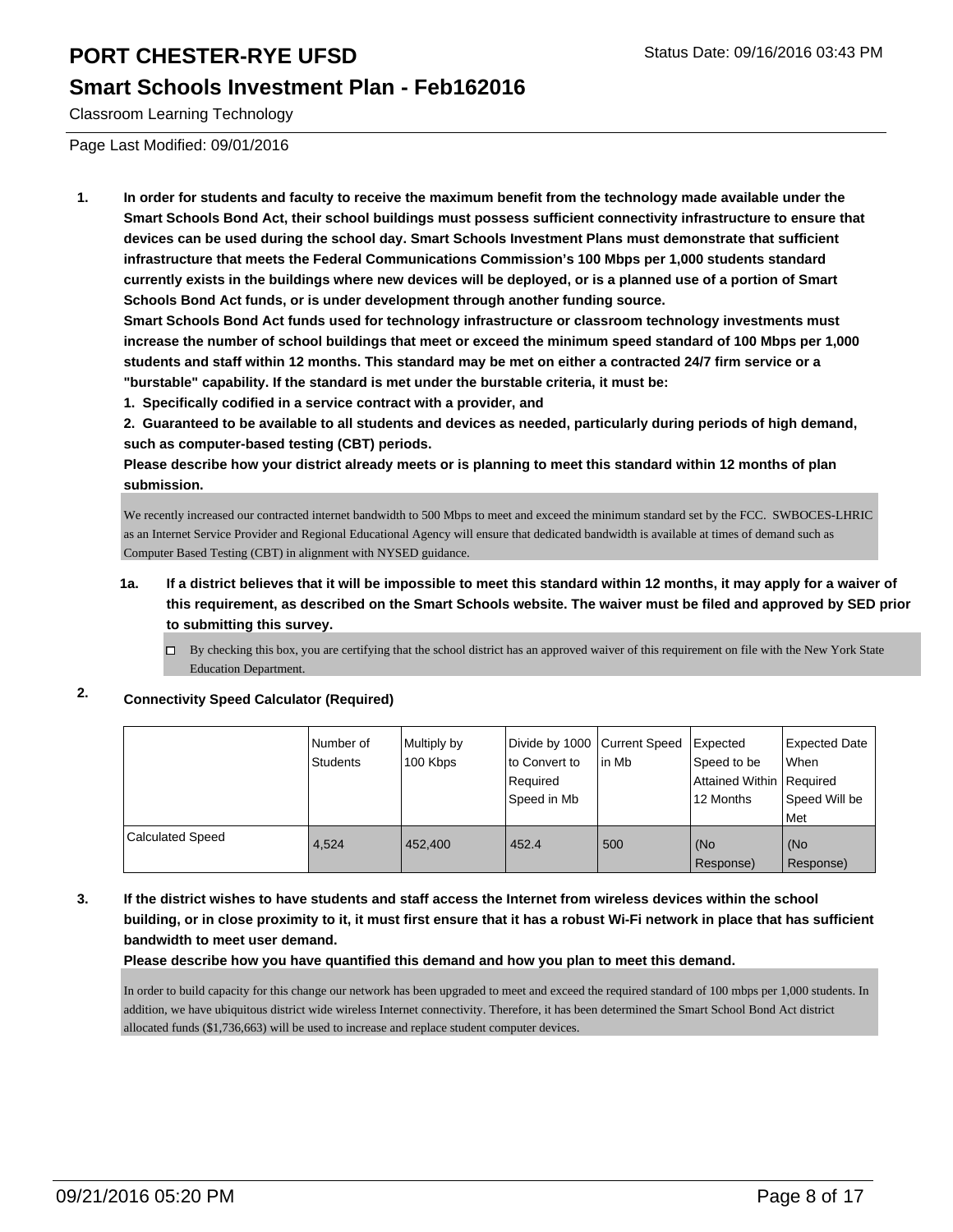#### **Smart Schools Investment Plan - Feb162016**

Classroom Learning Technology

Page Last Modified: 09/01/2016

**1. In order for students and faculty to receive the maximum benefit from the technology made available under the Smart Schools Bond Act, their school buildings must possess sufficient connectivity infrastructure to ensure that devices can be used during the school day. Smart Schools Investment Plans must demonstrate that sufficient infrastructure that meets the Federal Communications Commission's 100 Mbps per 1,000 students standard currently exists in the buildings where new devices will be deployed, or is a planned use of a portion of Smart Schools Bond Act funds, or is under development through another funding source.**

**Smart Schools Bond Act funds used for technology infrastructure or classroom technology investments must increase the number of school buildings that meet or exceed the minimum speed standard of 100 Mbps per 1,000 students and staff within 12 months. This standard may be met on either a contracted 24/7 firm service or a "burstable" capability. If the standard is met under the burstable criteria, it must be:**

**1. Specifically codified in a service contract with a provider, and**

**2. Guaranteed to be available to all students and devices as needed, particularly during periods of high demand, such as computer-based testing (CBT) periods.**

**Please describe how your district already meets or is planning to meet this standard within 12 months of plan submission.**

We recently increased our contracted internet bandwidth to 500 Mbps to meet and exceed the minimum standard set by the FCC. SWBOCES-LHRIC as an Internet Service Provider and Regional Educational Agency will ensure that dedicated bandwidth is available at times of demand such as Computer Based Testing (CBT) in alignment with NYSED guidance.

- **1a. If a district believes that it will be impossible to meet this standard within 12 months, it may apply for a waiver of this requirement, as described on the Smart Schools website. The waiver must be filed and approved by SED prior to submitting this survey.**
	- $\Box$  By checking this box, you are certifying that the school district has an approved waiver of this requirement on file with the New York State Education Department.

#### **2. Connectivity Speed Calculator (Required)**

|                         | i Number of<br>Students | Multiply by<br>100 Kbps | Divide by 1000 Current Speed<br>Ito Convert to<br>l Reauired<br>l Speed in Mb | lin Mb | Expected<br>Speed to be<br>Attained Within   Required<br>12 Months | Expected Date<br>l When<br>Speed Will be<br>Met |
|-------------------------|-------------------------|-------------------------|-------------------------------------------------------------------------------|--------|--------------------------------------------------------------------|-------------------------------------------------|
| <b>Calculated Speed</b> | 4.524                   | 452,400                 | 452.4                                                                         | 500    | (No<br>Response)                                                   | l (No<br>Response)                              |

#### **3. If the district wishes to have students and staff access the Internet from wireless devices within the school building, or in close proximity to it, it must first ensure that it has a robust Wi-Fi network in place that has sufficient bandwidth to meet user demand.**

**Please describe how you have quantified this demand and how you plan to meet this demand.**

In order to build capacity for this change our network has been upgraded to meet and exceed the required standard of 100 mbps per 1,000 students. In addition, we have ubiquitous district wide wireless Internet connectivity. Therefore, it has been determined the Smart School Bond Act district allocated funds (\$1,736,663) will be used to increase and replace student computer devices.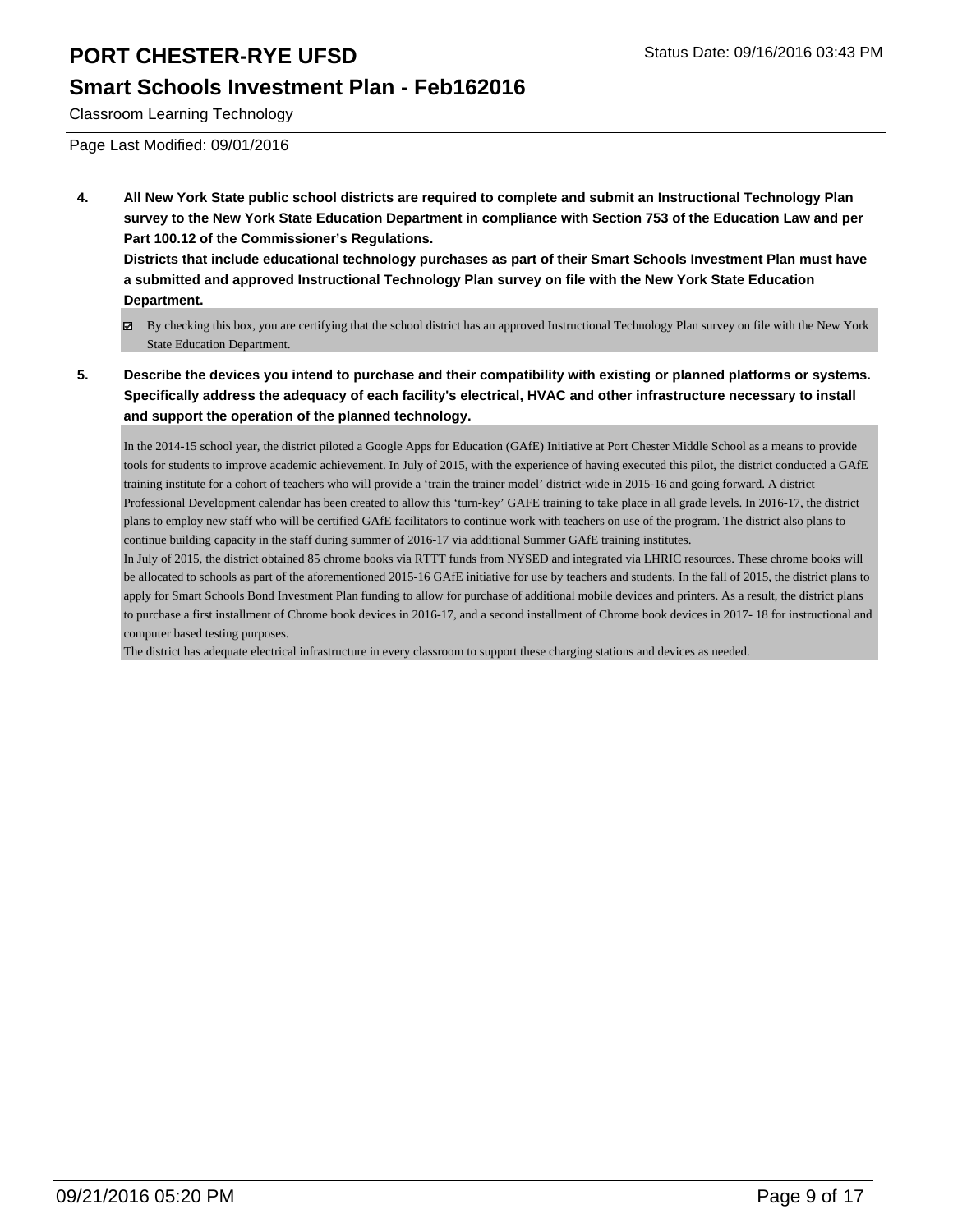#### **Smart Schools Investment Plan - Feb162016**

Classroom Learning Technology

Page Last Modified: 09/01/2016

**4. All New York State public school districts are required to complete and submit an Instructional Technology Plan survey to the New York State Education Department in compliance with Section 753 of the Education Law and per Part 100.12 of the Commissioner's Regulations.**

**Districts that include educational technology purchases as part of their Smart Schools Investment Plan must have a submitted and approved Instructional Technology Plan survey on file with the New York State Education Department.**

- By checking this box, you are certifying that the school district has an approved Instructional Technology Plan survey on file with the New York State Education Department.
- **5. Describe the devices you intend to purchase and their compatibility with existing or planned platforms or systems. Specifically address the adequacy of each facility's electrical, HVAC and other infrastructure necessary to install and support the operation of the planned technology.**

In the 2014-15 school year, the district piloted a Google Apps for Education (GAfE) Initiative at Port Chester Middle School as a means to provide tools for students to improve academic achievement. In July of 2015, with the experience of having executed this pilot, the district conducted a GAfE training institute for a cohort of teachers who will provide a 'train the trainer model' district-wide in 2015-16 and going forward. A district Professional Development calendar has been created to allow this 'turn-key' GAFE training to take place in all grade levels. In 2016-17, the district plans to employ new staff who will be certified GAfE facilitators to continue work with teachers on use of the program. The district also plans to continue building capacity in the staff during summer of 2016-17 via additional Summer GAfE training institutes.

In July of 2015, the district obtained 85 chrome books via RTTT funds from NYSED and integrated via LHRIC resources. These chrome books will be allocated to schools as part of the aforementioned 2015-16 GAfE initiative for use by teachers and students. In the fall of 2015, the district plans to apply for Smart Schools Bond Investment Plan funding to allow for purchase of additional mobile devices and printers. As a result, the district plans to purchase a first installment of Chrome book devices in 2016-17, and a second installment of Chrome book devices in 2017- 18 for instructional and computer based testing purposes.

The district has adequate electrical infrastructure in every classroom to support these charging stations and devices as needed.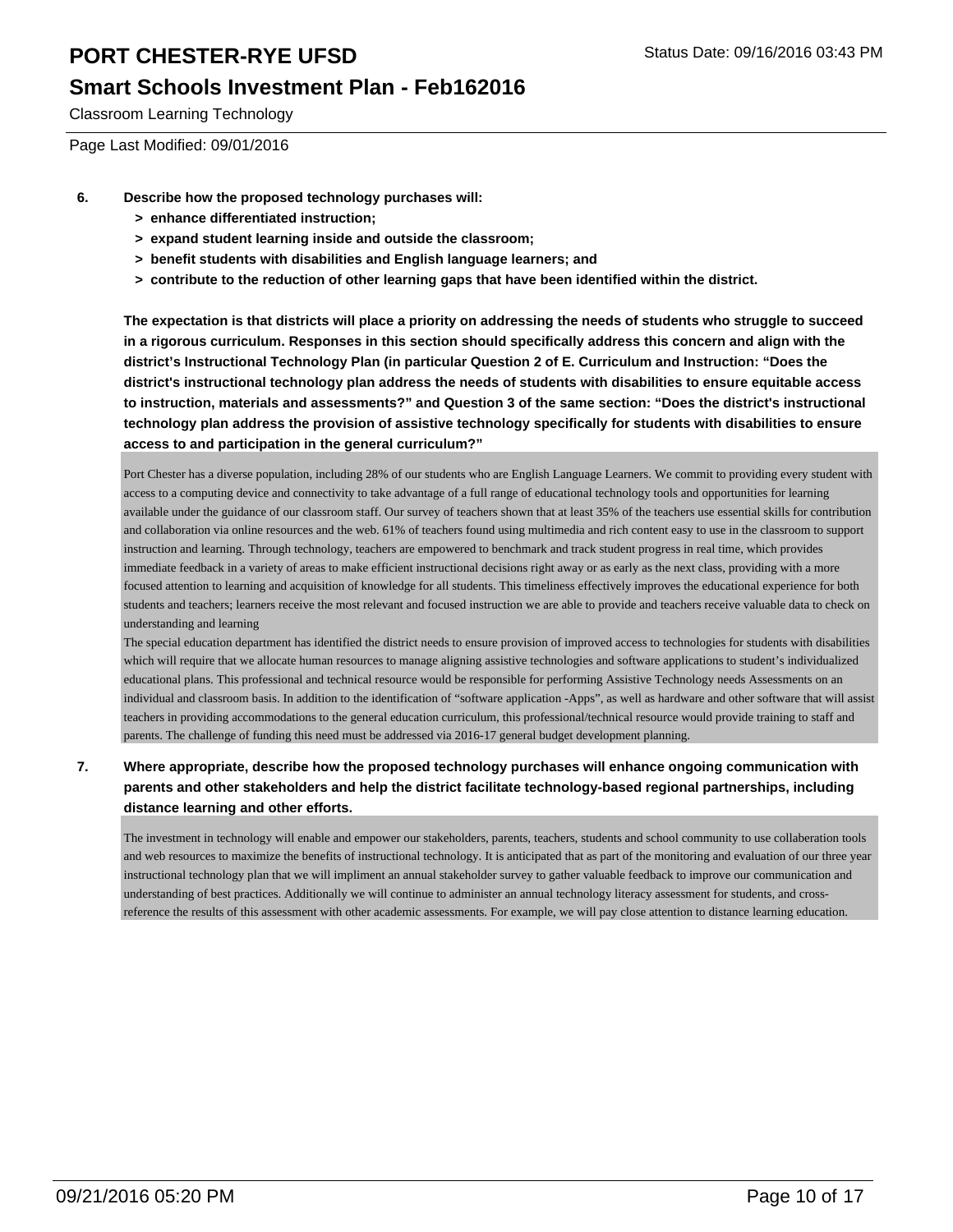#### **Smart Schools Investment Plan - Feb162016**

Classroom Learning Technology

Page Last Modified: 09/01/2016

- **6. Describe how the proposed technology purchases will:**
	- **> enhance differentiated instruction;**
	- **> expand student learning inside and outside the classroom;**
	- **> benefit students with disabilities and English language learners; and**
	- **> contribute to the reduction of other learning gaps that have been identified within the district.**

**The expectation is that districts will place a priority on addressing the needs of students who struggle to succeed in a rigorous curriculum. Responses in this section should specifically address this concern and align with the district's Instructional Technology Plan (in particular Question 2 of E. Curriculum and Instruction: "Does the district's instructional technology plan address the needs of students with disabilities to ensure equitable access to instruction, materials and assessments?" and Question 3 of the same section: "Does the district's instructional technology plan address the provision of assistive technology specifically for students with disabilities to ensure access to and participation in the general curriculum?"**

Port Chester has a diverse population, including 28% of our students who are English Language Learners. We commit to providing every student with access to a computing device and connectivity to take advantage of a full range of educational technology tools and opportunities for learning available under the guidance of our classroom staff. Our survey of teachers shown that at least 35% of the teachers use essential skills for contribution and collaboration via online resources and the web. 61% of teachers found using multimedia and rich content easy to use in the classroom to support instruction and learning. Through technology, teachers are empowered to benchmark and track student progress in real time, which provides immediate feedback in a variety of areas to make efficient instructional decisions right away or as early as the next class, providing with a more focused attention to learning and acquisition of knowledge for all students. This timeliness effectively improves the educational experience for both students and teachers; learners receive the most relevant and focused instruction we are able to provide and teachers receive valuable data to check on understanding and learning

The special education department has identified the district needs to ensure provision of improved access to technologies for students with disabilities which will require that we allocate human resources to manage aligning assistive technologies and software applications to student's individualized educational plans. This professional and technical resource would be responsible for performing Assistive Technology needs Assessments on an individual and classroom basis. In addition to the identification of "software application -Apps", as well as hardware and other software that will assist teachers in providing accommodations to the general education curriculum, this professional/technical resource would provide training to staff and parents. The challenge of funding this need must be addressed via 2016-17 general budget development planning.

#### **7. Where appropriate, describe how the proposed technology purchases will enhance ongoing communication with parents and other stakeholders and help the district facilitate technology-based regional partnerships, including distance learning and other efforts.**

The investment in technology will enable and empower our stakeholders, parents, teachers, students and school community to use collaberation tools and web resources to maximize the benefits of instructional technology. It is anticipated that as part of the monitoring and evaluation of our three year instructional technology plan that we will impliment an annual stakeholder survey to gather valuable feedback to improve our communication and understanding of best practices. Additionally we will continue to administer an annual technology literacy assessment for students, and crossreference the results of this assessment with other academic assessments. For example, we will pay close attention to distance learning education.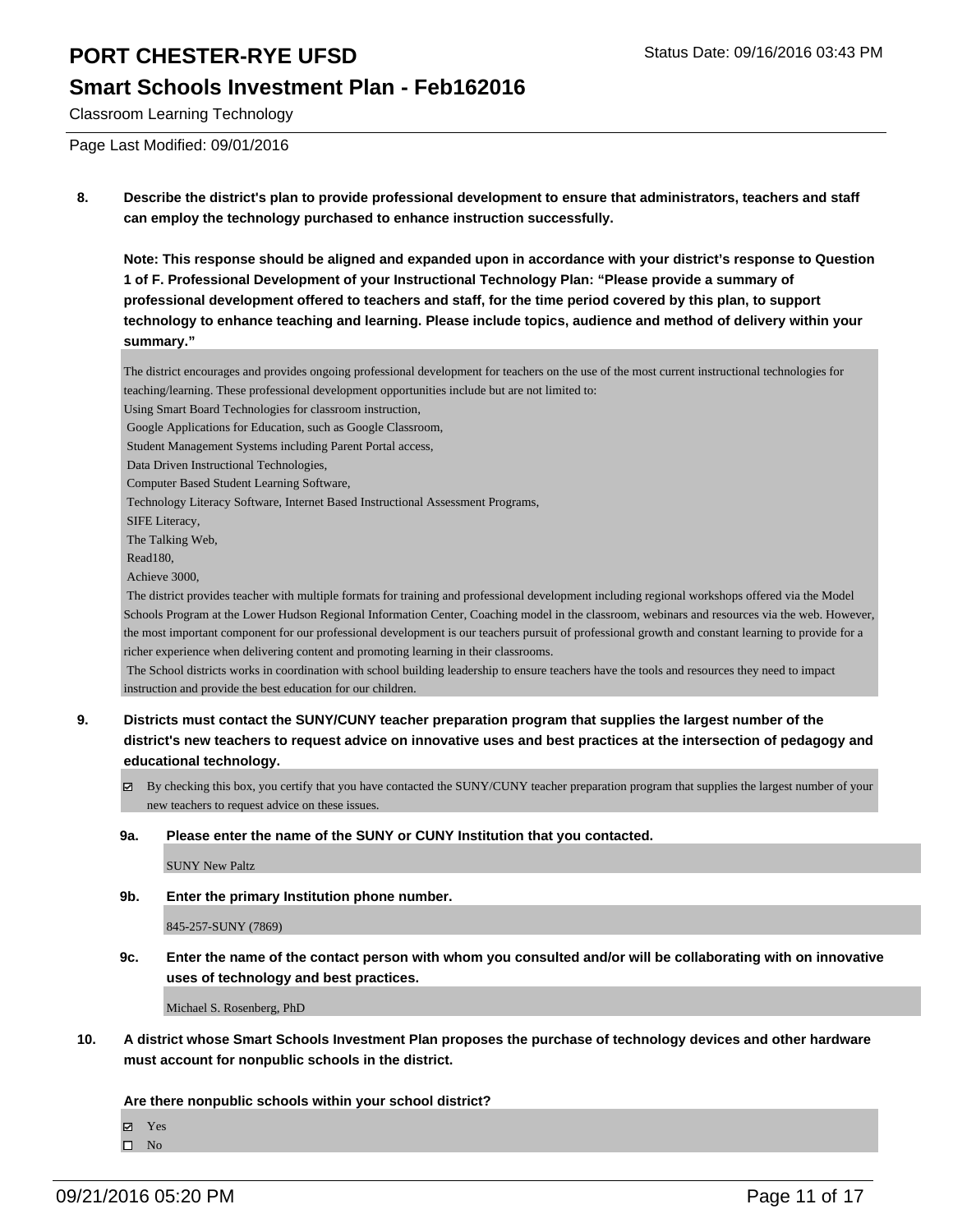#### **Smart Schools Investment Plan - Feb162016**

Classroom Learning Technology

Page Last Modified: 09/01/2016

**8. Describe the district's plan to provide professional development to ensure that administrators, teachers and staff can employ the technology purchased to enhance instruction successfully.**

**Note: This response should be aligned and expanded upon in accordance with your district's response to Question 1 of F. Professional Development of your Instructional Technology Plan: "Please provide a summary of professional development offered to teachers and staff, for the time period covered by this plan, to support technology to enhance teaching and learning. Please include topics, audience and method of delivery within your summary."**

The district encourages and provides ongoing professional development for teachers on the use of the most current instructional technologies for teaching/learning. These professional development opportunities include but are not limited to:

Using Smart Board Technologies for classroom instruction,

Google Applications for Education, such as Google Classroom,

Student Management Systems including Parent Portal access,

Data Driven Instructional Technologies,

Computer Based Student Learning Software,

Technology Literacy Software, Internet Based Instructional Assessment Programs,

SIFE Literacy,

The Talking Web,

Read180,

Achieve 3000,

 The district provides teacher with multiple formats for training and professional development including regional workshops offered via the Model Schools Program at the Lower Hudson Regional Information Center, Coaching model in the classroom, webinars and resources via the web. However, the most important component for our professional development is our teachers pursuit of professional growth and constant learning to provide for a richer experience when delivering content and promoting learning in their classrooms.

 The School districts works in coordination with school building leadership to ensure teachers have the tools and resources they need to impact instruction and provide the best education for our children.

- **9. Districts must contact the SUNY/CUNY teacher preparation program that supplies the largest number of the district's new teachers to request advice on innovative uses and best practices at the intersection of pedagogy and educational technology.**
	- By checking this box, you certify that you have contacted the SUNY/CUNY teacher preparation program that supplies the largest number of your new teachers to request advice on these issues.

#### **9a. Please enter the name of the SUNY or CUNY Institution that you contacted.**

SUNY New Paltz

**9b. Enter the primary Institution phone number.**

845-257-SUNY (7869)

**9c. Enter the name of the contact person with whom you consulted and/or will be collaborating with on innovative uses of technology and best practices.**

Michael S. Rosenberg, PhD

**10. A district whose Smart Schools Investment Plan proposes the purchase of technology devices and other hardware must account for nonpublic schools in the district.**

**Are there nonpublic schools within your school district?**

**Ø** Yes

 $\square$  No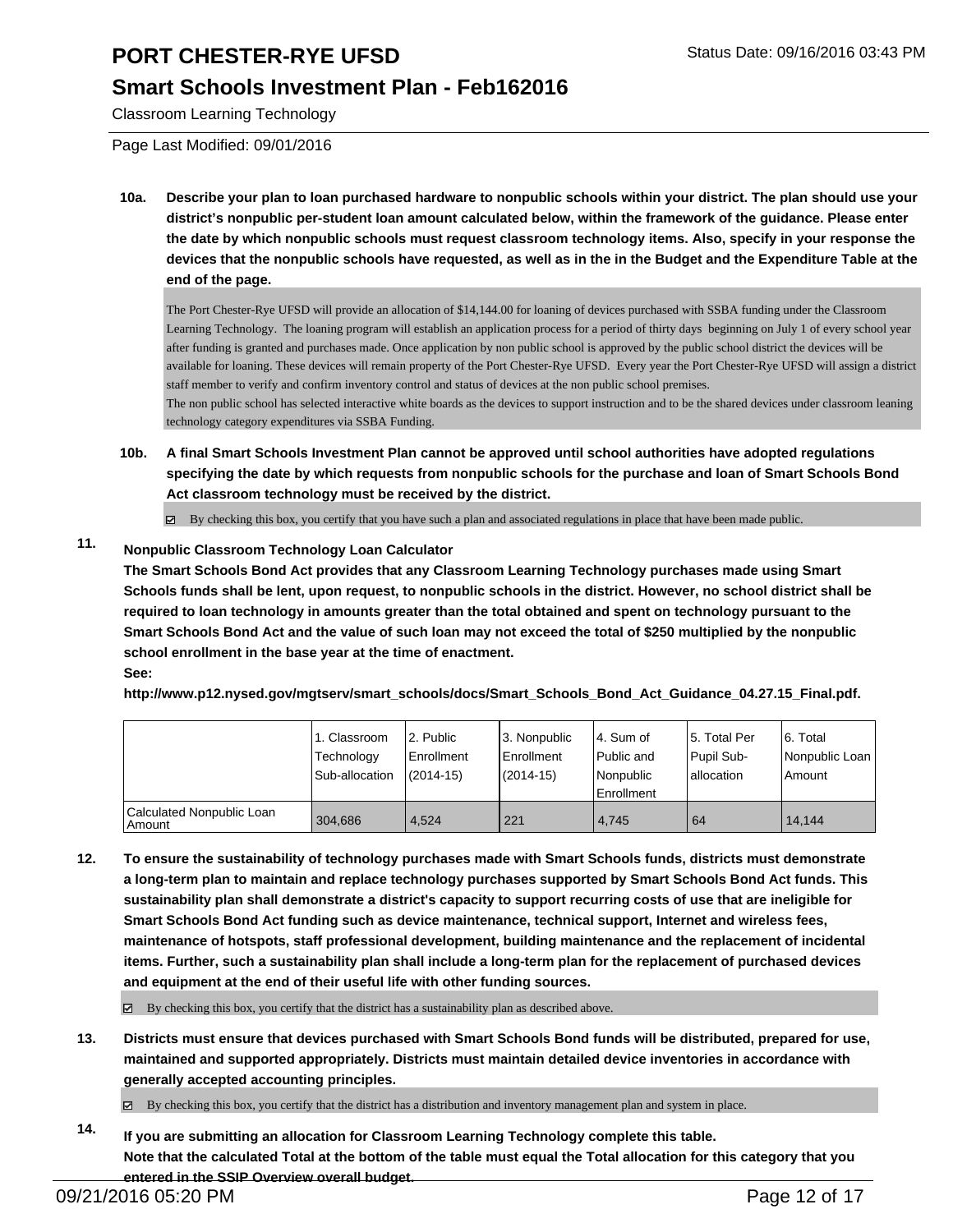#### **Smart Schools Investment Plan - Feb162016**

Classroom Learning Technology

Page Last Modified: 09/01/2016

**10a. Describe your plan to loan purchased hardware to nonpublic schools within your district. The plan should use your district's nonpublic per-student loan amount calculated below, within the framework of the guidance. Please enter the date by which nonpublic schools must request classroom technology items. Also, specify in your response the devices that the nonpublic schools have requested, as well as in the in the Budget and the Expenditure Table at the end of the page.**

The Port Chester-Rye UFSD will provide an allocation of \$14,144.00 for loaning of devices purchased with SSBA funding under the Classroom Learning Technology. The loaning program will establish an application process for a period of thirty days beginning on July 1 of every school year after funding is granted and purchases made. Once application by non public school is approved by the public school district the devices will be available for loaning. These devices will remain property of the Port Chester-Rye UFSD. Every year the Port Chester-Rye UFSD will assign a district staff member to verify and confirm inventory control and status of devices at the non public school premises. The non public school has selected interactive white boards as the devices to support instruction and to be the shared devices under classroom leaning

technology category expenditures via SSBA Funding.

**10b. A final Smart Schools Investment Plan cannot be approved until school authorities have adopted regulations specifying the date by which requests from nonpublic schools for the purchase and loan of Smart Schools Bond Act classroom technology must be received by the district.**

 $\boxtimes$  By checking this box, you certify that you have such a plan and associated regulations in place that have been made public.

#### **11. Nonpublic Classroom Technology Loan Calculator**

**The Smart Schools Bond Act provides that any Classroom Learning Technology purchases made using Smart Schools funds shall be lent, upon request, to nonpublic schools in the district. However, no school district shall be required to loan technology in amounts greater than the total obtained and spent on technology pursuant to the Smart Schools Bond Act and the value of such loan may not exceed the total of \$250 multiplied by the nonpublic school enrollment in the base year at the time of enactment. See:**

**http://www.p12.nysed.gov/mgtserv/smart\_schools/docs/Smart\_Schools\_Bond\_Act\_Guidance\_04.27.15\_Final.pdf.**

|                                     | 1. Classroom<br>Technology | 2. Public<br>Enrollment | 3. Nonpublic<br><b>Enrollment</b> | l 4. Sum of<br>Public and      | 15. Total Per<br>Pupil Sub- | 6. Total<br>Nonpublic Loan |
|-------------------------------------|----------------------------|-------------------------|-----------------------------------|--------------------------------|-----------------------------|----------------------------|
|                                     | Sub-allocation             | $(2014 - 15)$           | (2014-15)                         | Nonpublic<br><b>Enrollment</b> | lallocation                 | Amount                     |
| Calculated Nonpublic Loan<br>Amount | 304.686                    | 4.524                   | 221                               | 4.745                          | 64                          | 14.144                     |

**12. To ensure the sustainability of technology purchases made with Smart Schools funds, districts must demonstrate a long-term plan to maintain and replace technology purchases supported by Smart Schools Bond Act funds. This sustainability plan shall demonstrate a district's capacity to support recurring costs of use that are ineligible for Smart Schools Bond Act funding such as device maintenance, technical support, Internet and wireless fees, maintenance of hotspots, staff professional development, building maintenance and the replacement of incidental items. Further, such a sustainability plan shall include a long-term plan for the replacement of purchased devices and equipment at the end of their useful life with other funding sources.**

 $\boxtimes$  By checking this box, you certify that the district has a sustainability plan as described above.

- **13. Districts must ensure that devices purchased with Smart Schools Bond funds will be distributed, prepared for use, maintained and supported appropriately. Districts must maintain detailed device inventories in accordance with generally accepted accounting principles.**
	- By checking this box, you certify that the district has a distribution and inventory management plan and system in place.
- **14. If you are submitting an allocation for Classroom Learning Technology complete this table. Note that the calculated Total at the bottom of the table must equal the Total allocation for this category that you entered in the SSIP Overview overall budget.**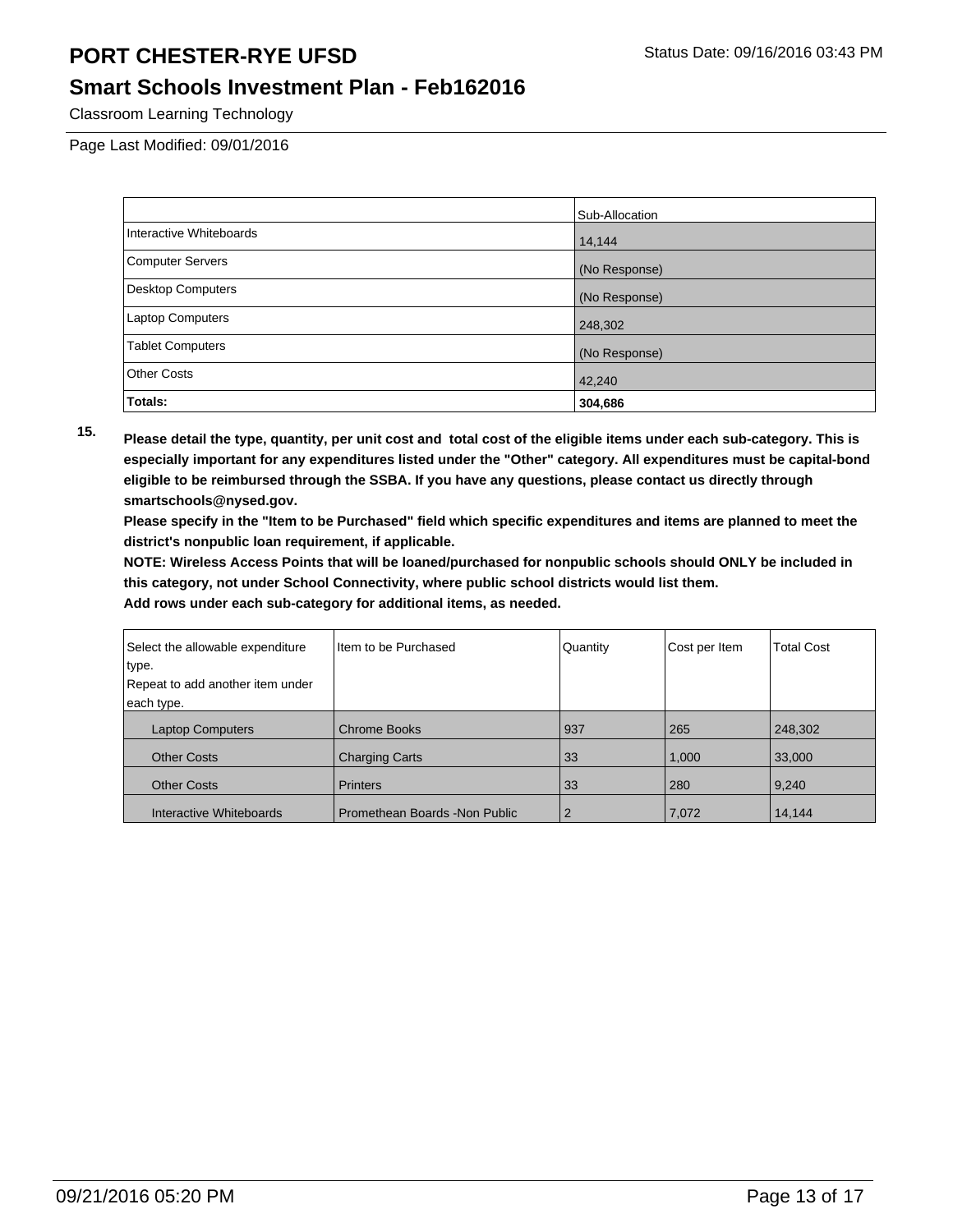#### **Smart Schools Investment Plan - Feb162016**

Classroom Learning Technology

Page Last Modified: 09/01/2016

|                          | Sub-Allocation |
|--------------------------|----------------|
| Interactive Whiteboards  | 14,144         |
| <b>Computer Servers</b>  | (No Response)  |
| <b>Desktop Computers</b> | (No Response)  |
| <b>Laptop Computers</b>  | 248,302        |
| <b>Tablet Computers</b>  | (No Response)  |
| <b>Other Costs</b>       | 42,240         |
| Totals:                  | 304,686        |

**15. Please detail the type, quantity, per unit cost and total cost of the eligible items under each sub-category. This is especially important for any expenditures listed under the "Other" category. All expenditures must be capital-bond eligible to be reimbursed through the SSBA. If you have any questions, please contact us directly through smartschools@nysed.gov.**

**Please specify in the "Item to be Purchased" field which specific expenditures and items are planned to meet the district's nonpublic loan requirement, if applicable.**

**NOTE: Wireless Access Points that will be loaned/purchased for nonpublic schools should ONLY be included in this category, not under School Connectivity, where public school districts would list them.**

| Select the allowable expenditure | Item to be Purchased           | Quantity       | Cost per Item | <b>Total Cost</b> |
|----------------------------------|--------------------------------|----------------|---------------|-------------------|
| type.                            |                                |                |               |                   |
| Repeat to add another item under |                                |                |               |                   |
| each type.                       |                                |                |               |                   |
| <b>Laptop Computers</b>          | <b>Chrome Books</b>            | 937            | 265           | 248,302           |
| <b>Other Costs</b>               | <b>Charging Carts</b>          | 33             | 1,000         | 33,000            |
| <b>Other Costs</b>               | <b>Printers</b>                | 33             | 280           | 9,240             |
| Interactive Whiteboards          | Promethean Boards - Non Public | $\overline{2}$ | 7,072         | 14,144            |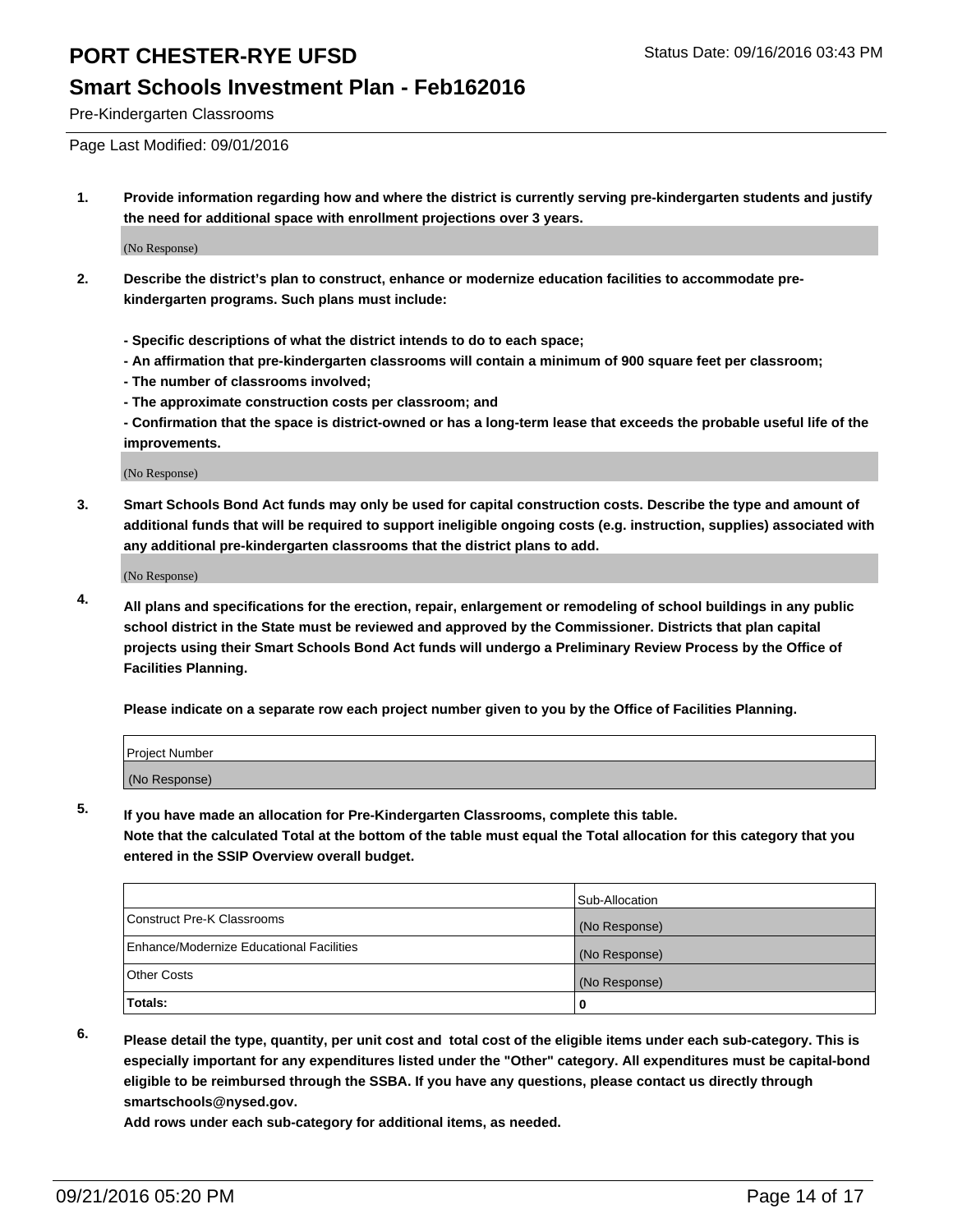### **Smart Schools Investment Plan - Feb162016**

Pre-Kindergarten Classrooms

Page Last Modified: 09/01/2016

**1. Provide information regarding how and where the district is currently serving pre-kindergarten students and justify the need for additional space with enrollment projections over 3 years.**

(No Response)

- **2. Describe the district's plan to construct, enhance or modernize education facilities to accommodate prekindergarten programs. Such plans must include:**
	- **Specific descriptions of what the district intends to do to each space;**
	- **An affirmation that pre-kindergarten classrooms will contain a minimum of 900 square feet per classroom;**
	- **The number of classrooms involved;**
	- **The approximate construction costs per classroom; and**
	- **Confirmation that the space is district-owned or has a long-term lease that exceeds the probable useful life of the improvements.**

(No Response)

**3. Smart Schools Bond Act funds may only be used for capital construction costs. Describe the type and amount of additional funds that will be required to support ineligible ongoing costs (e.g. instruction, supplies) associated with any additional pre-kindergarten classrooms that the district plans to add.**

(No Response)

**4. All plans and specifications for the erection, repair, enlargement or remodeling of school buildings in any public school district in the State must be reviewed and approved by the Commissioner. Districts that plan capital projects using their Smart Schools Bond Act funds will undergo a Preliminary Review Process by the Office of Facilities Planning.**

**Please indicate on a separate row each project number given to you by the Office of Facilities Planning.**

| Project Number |  |  |
|----------------|--|--|
| (No Response)  |  |  |

**5. If you have made an allocation for Pre-Kindergarten Classrooms, complete this table.**

**Note that the calculated Total at the bottom of the table must equal the Total allocation for this category that you entered in the SSIP Overview overall budget.**

|                                          | Sub-Allocation |
|------------------------------------------|----------------|
| Construct Pre-K Classrooms               | (No Response)  |
| Enhance/Modernize Educational Facilities | (No Response)  |
| Other Costs                              | (No Response)  |
| <b>Totals:</b>                           |                |

**6. Please detail the type, quantity, per unit cost and total cost of the eligible items under each sub-category. This is especially important for any expenditures listed under the "Other" category. All expenditures must be capital-bond eligible to be reimbursed through the SSBA. If you have any questions, please contact us directly through smartschools@nysed.gov.**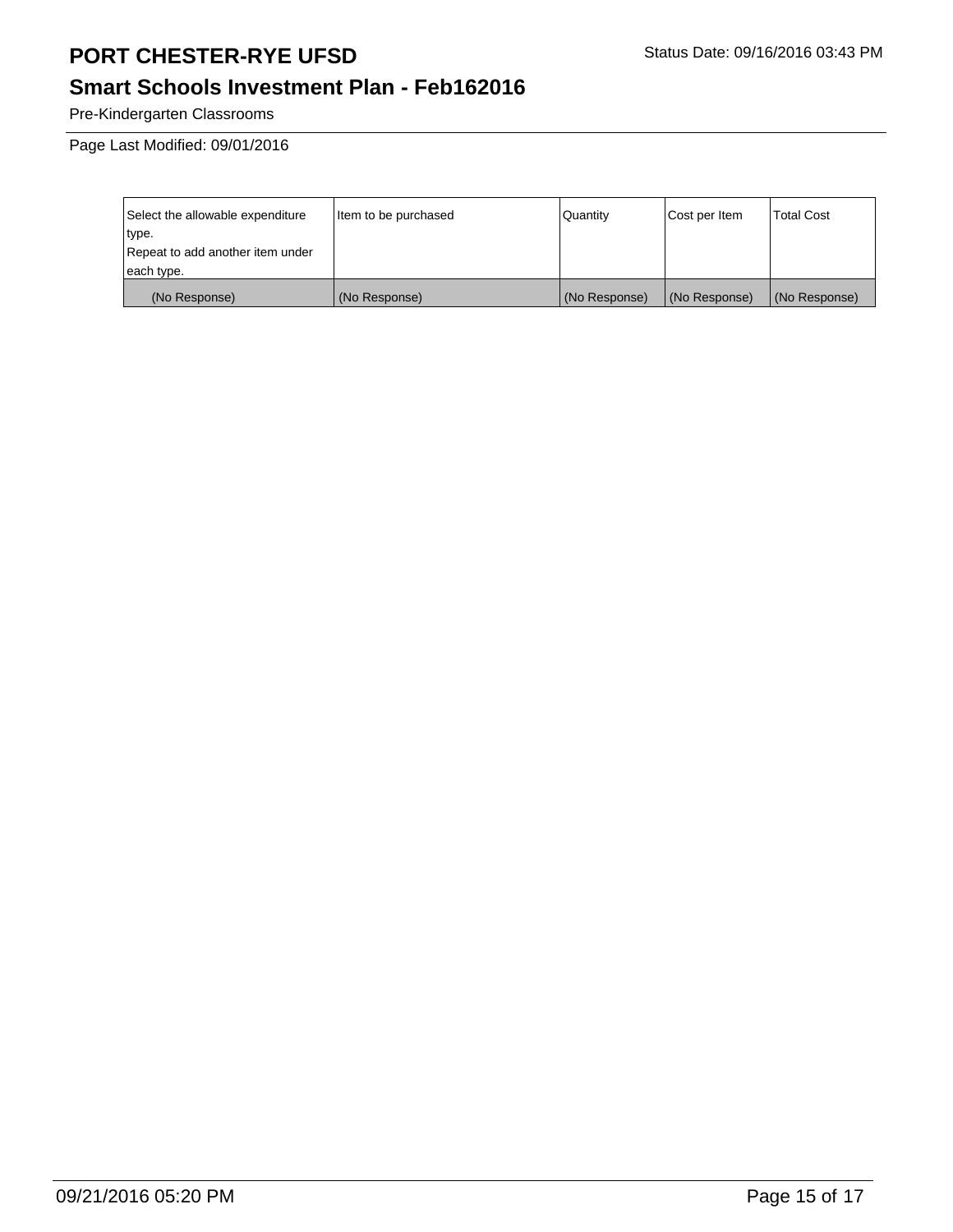# **Smart Schools Investment Plan - Feb162016**

Pre-Kindergarten Classrooms

Page Last Modified: 09/01/2016

| Select the allowable expenditure | Item to be purchased | Quantity      | Cost per Item | <b>Total Cost</b> |
|----------------------------------|----------------------|---------------|---------------|-------------------|
| type.                            |                      |               |               |                   |
| Repeat to add another item under |                      |               |               |                   |
| each type.                       |                      |               |               |                   |
| (No Response)                    | (No Response)        | (No Response) | (No Response) | (No Response)     |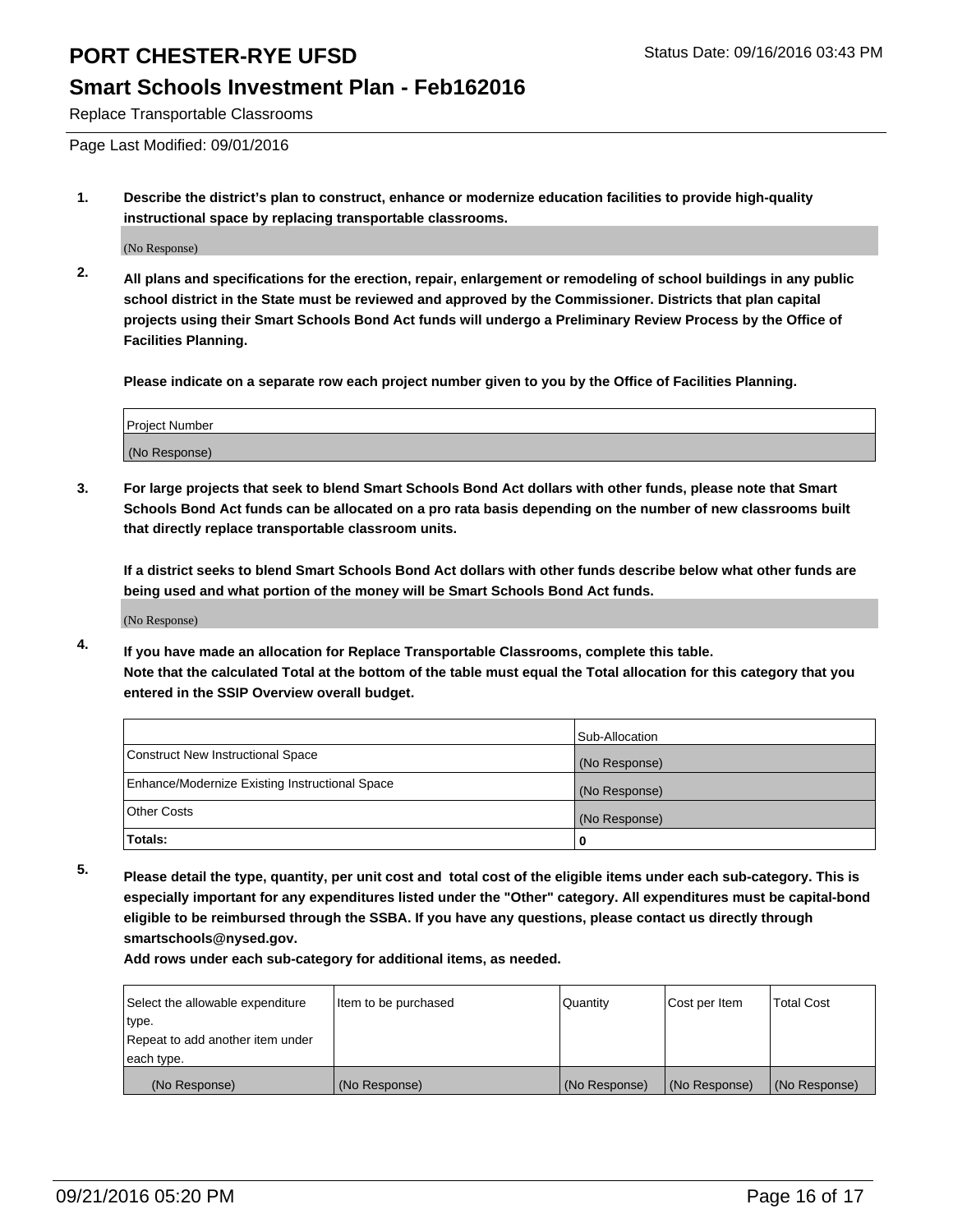### **Smart Schools Investment Plan - Feb162016**

Replace Transportable Classrooms

Page Last Modified: 09/01/2016

**1. Describe the district's plan to construct, enhance or modernize education facilities to provide high-quality instructional space by replacing transportable classrooms.**

(No Response)

**2. All plans and specifications for the erection, repair, enlargement or remodeling of school buildings in any public school district in the State must be reviewed and approved by the Commissioner. Districts that plan capital projects using their Smart Schools Bond Act funds will undergo a Preliminary Review Process by the Office of Facilities Planning.**

**Please indicate on a separate row each project number given to you by the Office of Facilities Planning.**

| Project Number |  |
|----------------|--|
| (No Response)  |  |

**3. For large projects that seek to blend Smart Schools Bond Act dollars with other funds, please note that Smart Schools Bond Act funds can be allocated on a pro rata basis depending on the number of new classrooms built that directly replace transportable classroom units.**

**If a district seeks to blend Smart Schools Bond Act dollars with other funds describe below what other funds are being used and what portion of the money will be Smart Schools Bond Act funds.**

(No Response)

**4. If you have made an allocation for Replace Transportable Classrooms, complete this table. Note that the calculated Total at the bottom of the table must equal the Total allocation for this category that you entered in the SSIP Overview overall budget.**

|                                                | Sub-Allocation |
|------------------------------------------------|----------------|
| Construct New Instructional Space              | (No Response)  |
| Enhance/Modernize Existing Instructional Space | (No Response)  |
| Other Costs                                    | (No Response)  |
| Totals:                                        | 0              |

**5. Please detail the type, quantity, per unit cost and total cost of the eligible items under each sub-category. This is especially important for any expenditures listed under the "Other" category. All expenditures must be capital-bond eligible to be reimbursed through the SSBA. If you have any questions, please contact us directly through smartschools@nysed.gov.**

| Select the allowable expenditure | Item to be purchased | Quantity      | Cost per Item | Total Cost    |
|----------------------------------|----------------------|---------------|---------------|---------------|
| type.                            |                      |               |               |               |
| Repeat to add another item under |                      |               |               |               |
| each type.                       |                      |               |               |               |
| (No Response)                    | (No Response)        | (No Response) | (No Response) | (No Response) |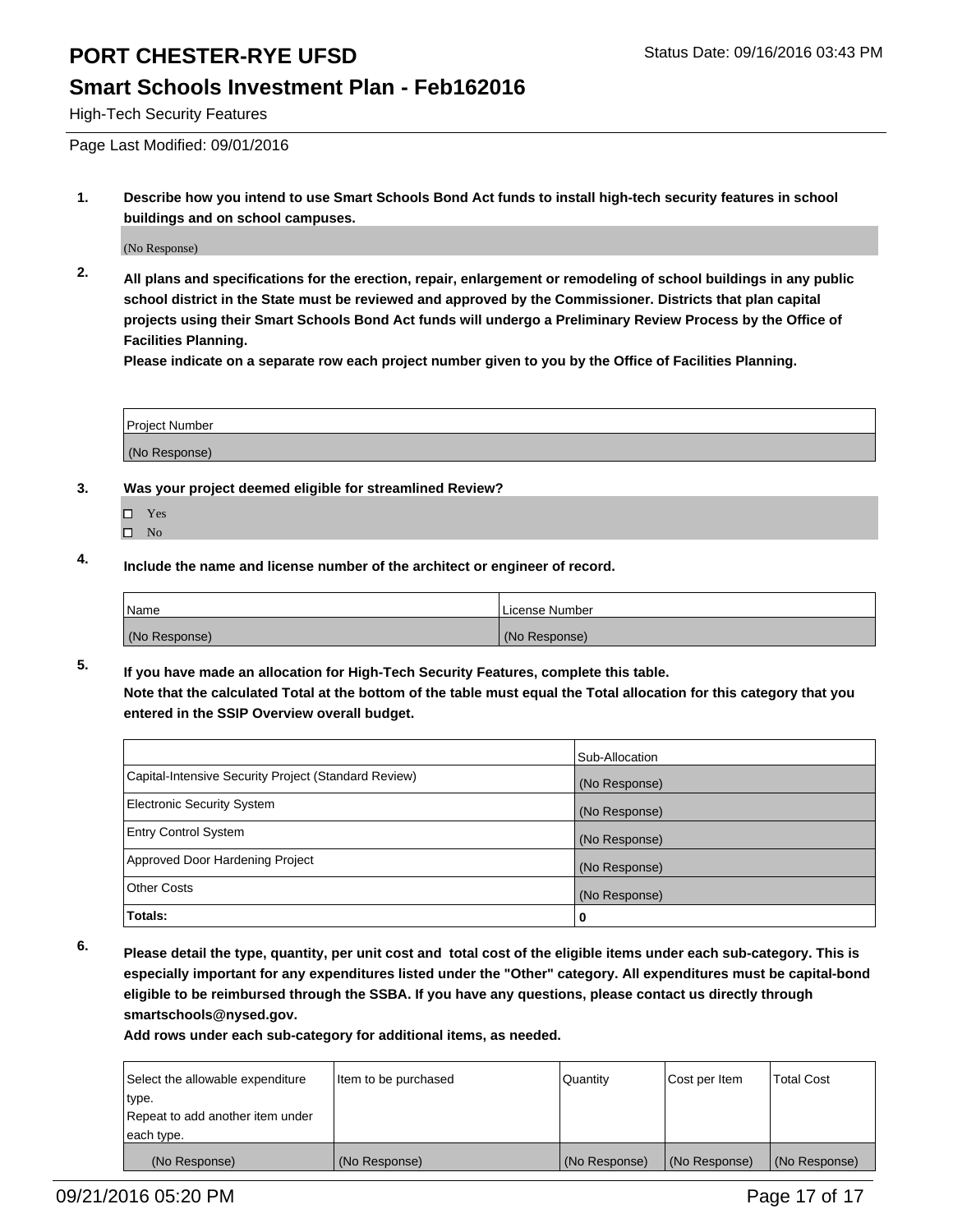#### **Smart Schools Investment Plan - Feb162016**

High-Tech Security Features

Page Last Modified: 09/01/2016

**1. Describe how you intend to use Smart Schools Bond Act funds to install high-tech security features in school buildings and on school campuses.**

(No Response)

**2. All plans and specifications for the erection, repair, enlargement or remodeling of school buildings in any public school district in the State must be reviewed and approved by the Commissioner. Districts that plan capital projects using their Smart Schools Bond Act funds will undergo a Preliminary Review Process by the Office of Facilities Planning.** 

**Please indicate on a separate row each project number given to you by the Office of Facilities Planning.**

| <b>Project Number</b> |  |
|-----------------------|--|
| (No Response)         |  |

- **3. Was your project deemed eligible for streamlined Review?**
	- □ Yes
	- $\square$  No
- **4. Include the name and license number of the architect or engineer of record.**

| Name          | License Number |
|---------------|----------------|
| (No Response) | (No Response)  |

**5. If you have made an allocation for High-Tech Security Features, complete this table. Note that the calculated Total at the bottom of the table must equal the Total allocation for this category that you entered in the SSIP Overview overall budget.**

|                                                      | Sub-Allocation |
|------------------------------------------------------|----------------|
| Capital-Intensive Security Project (Standard Review) | (No Response)  |
| <b>Electronic Security System</b>                    | (No Response)  |
| <b>Entry Control System</b>                          | (No Response)  |
| Approved Door Hardening Project                      | (No Response)  |
| <b>Other Costs</b>                                   | (No Response)  |
| Totals:                                              | 0              |

**6. Please detail the type, quantity, per unit cost and total cost of the eligible items under each sub-category. This is especially important for any expenditures listed under the "Other" category. All expenditures must be capital-bond eligible to be reimbursed through the SSBA. If you have any questions, please contact us directly through smartschools@nysed.gov.**

| Select the allowable expenditure | Item to be purchased | Quantity      | Cost per Item | <b>Total Cost</b> |
|----------------------------------|----------------------|---------------|---------------|-------------------|
| type.                            |                      |               |               |                   |
| Repeat to add another item under |                      |               |               |                   |
| each type.                       |                      |               |               |                   |
| (No Response)                    | (No Response)        | (No Response) | (No Response) | (No Response)     |